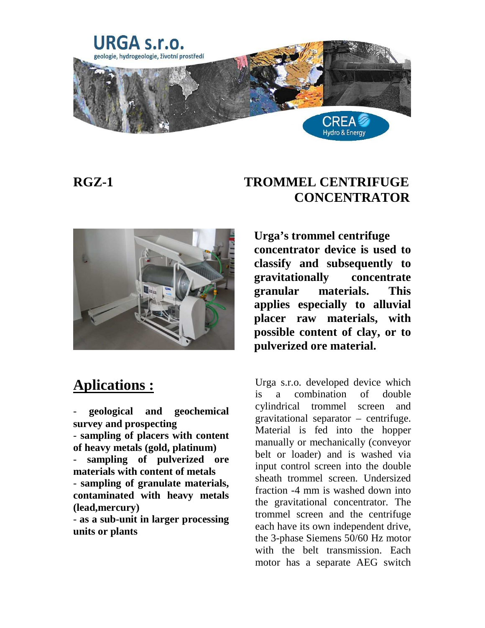





Urga s.r.o. developed device which is a combination of double cylindrical trommel screen and gravitational separator – centrifuge. Material is fed into the hopper manually or mechanically (conveyor belt or loader) and is washed via input control screen into the double sheath trommel screen. Undersized fraction -4 mm is washed down into the gravitational concentrator. The trommel screen and the centrifuge each have its own independent drive, the 3-phase Siemens 50/60 Hz motor with the belt transmission. Each motor has a separate AEG switch



## **Aplications :**

- **geological and geochemical survey and prospecting**  - **sampling of placers with content of heavy metals (gold, platinum)**  - **sampling of pulverized ore materials with content of metals**  - **sampling of granulate materials, contaminated with heavy metals (lead,mercury)** 

- **as a sub-unit in larger processing units or plants**